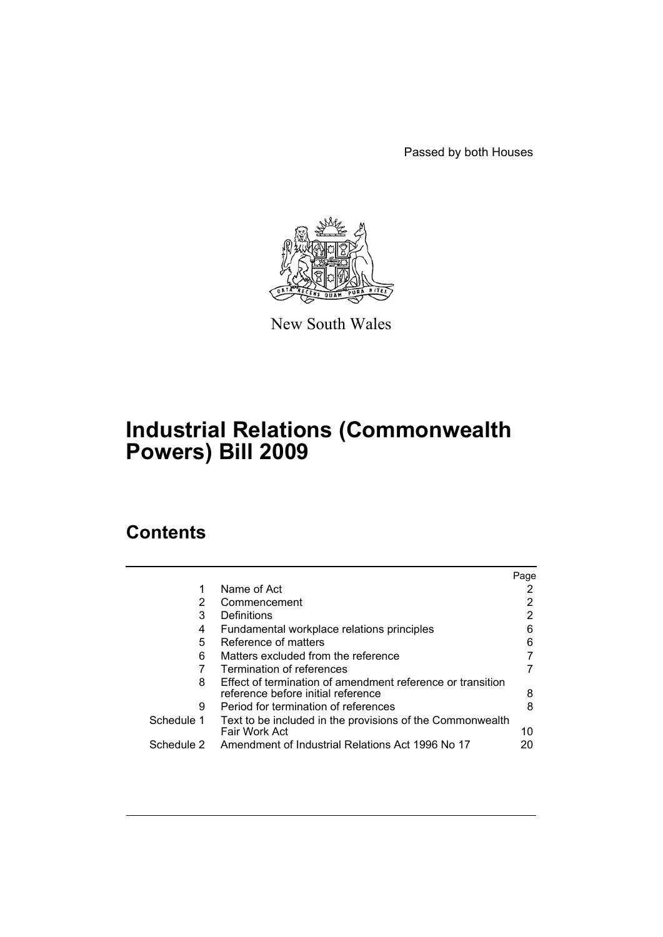Passed by both Houses



New South Wales

# **Industrial Relations (Commonwealth Powers) Bill 2009**

# **Contents**

|            |                                                                                                  | Page |
|------------|--------------------------------------------------------------------------------------------------|------|
|            | Name of Act                                                                                      |      |
| 2          | Commencement                                                                                     |      |
| 3          | Definitions                                                                                      |      |
| 4          | Fundamental workplace relations principles                                                       |      |
| 5          | Reference of matters                                                                             | 6    |
| 6          | Matters excluded from the reference                                                              |      |
|            | Termination of references                                                                        |      |
| 8          | Effect of termination of amendment reference or transition<br>reference before initial reference | 8    |
| 9          | Period for termination of references                                                             |      |
| Schedule 1 | Text to be included in the provisions of the Commonwealth<br>Fair Work Act                       | 10   |
| Schedule 2 | Amendment of Industrial Relations Act 1996 No 17                                                 |      |
|            |                                                                                                  |      |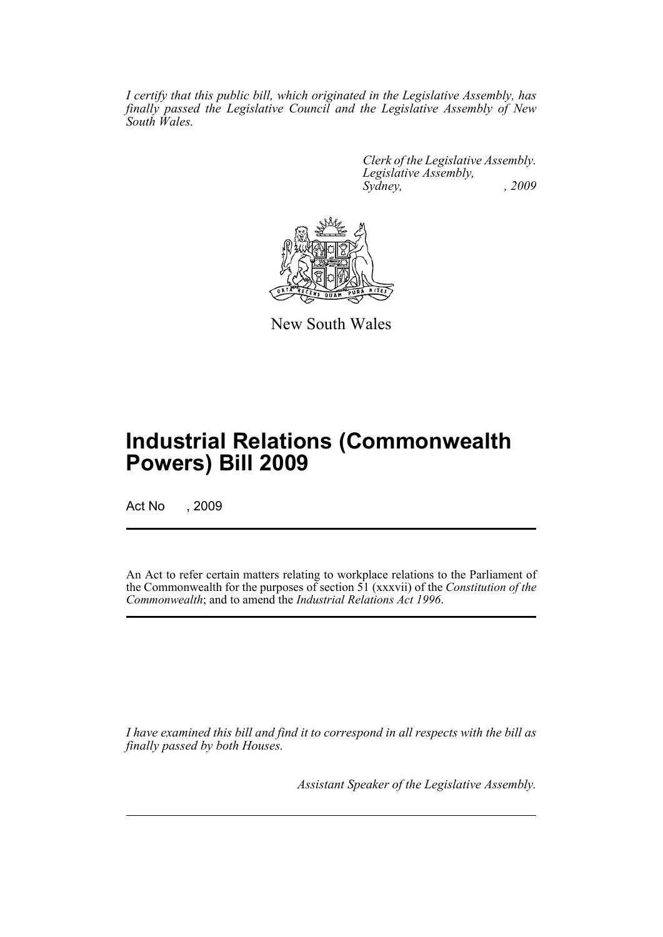*I certify that this public bill, which originated in the Legislative Assembly, has finally passed the Legislative Council and the Legislative Assembly of New South Wales.*

> *Clerk of the Legislative Assembly. Legislative Assembly, Sydney, , 2009*



New South Wales

# **Industrial Relations (Commonwealth Powers) Bill 2009**

Act No , 2009

An Act to refer certain matters relating to workplace relations to the Parliament of the Commonwealth for the purposes of section 51 (xxxvii) of the *Constitution of the Commonwealth*; and to amend the *Industrial Relations Act 1996*.

*I have examined this bill and find it to correspond in all respects with the bill as finally passed by both Houses.*

*Assistant Speaker of the Legislative Assembly.*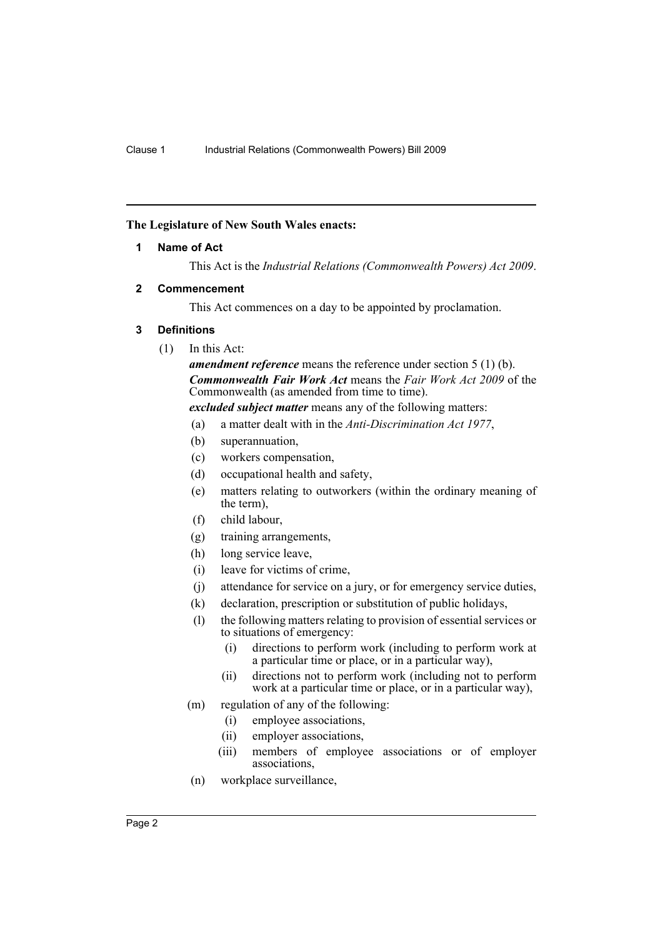## <span id="page-3-0"></span>**The Legislature of New South Wales enacts:**

## **1 Name of Act**

This Act is the *Industrial Relations (Commonwealth Powers) Act 2009*.

## <span id="page-3-1"></span>**2 Commencement**

This Act commences on a day to be appointed by proclamation.

## <span id="page-3-2"></span>**3 Definitions**

(1) In this Act:

*amendment reference* means the reference under section 5 (1) (b). *Commonwealth Fair Work Act* means the *Fair Work Act 2009* of the Commonwealth (as amended from time to time).

*excluded subject matter* means any of the following matters:

- (a) a matter dealt with in the *Anti-Discrimination Act 1977*,
- (b) superannuation,
- (c) workers compensation,
- (d) occupational health and safety,
- (e) matters relating to outworkers (within the ordinary meaning of the term),
- (f) child labour,
- (g) training arrangements,
- (h) long service leave,
- (i) leave for victims of crime,
- (j) attendance for service on a jury, or for emergency service duties,
- (k) declaration, prescription or substitution of public holidays,
- (l) the following matters relating to provision of essential services or to situations of emergency:
	- (i) directions to perform work (including to perform work at a particular time or place, or in a particular way),
	- (ii) directions not to perform work (including not to perform work at a particular time or place, or in a particular way),
- (m) regulation of any of the following:
	- (i) employee associations,
	- (ii) employer associations,
	- (iii) members of employee associations or of employer associations,
- (n) workplace surveillance,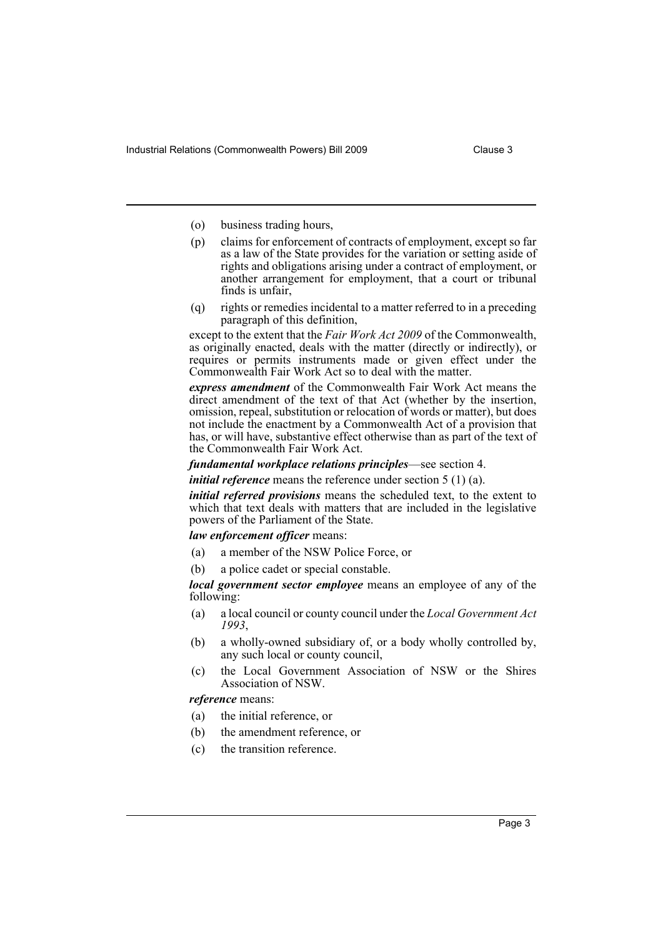- (o) business trading hours,
- (p) claims for enforcement of contracts of employment, except so far as a law of the State provides for the variation or setting aside of rights and obligations arising under a contract of employment, or another arrangement for employment, that a court or tribunal finds is unfair,
- (q) rights or remedies incidental to a matter referred to in a preceding paragraph of this definition,

except to the extent that the *Fair Work Act 2009* of the Commonwealth, as originally enacted, deals with the matter (directly or indirectly), or requires or permits instruments made or given effect under the Commonwealth Fair Work Act so to deal with the matter.

*express amendment* of the Commonwealth Fair Work Act means the direct amendment of the text of that Act (whether by the insertion, omission, repeal, substitution or relocation of words or matter), but does not include the enactment by a Commonwealth Act of a provision that has, or will have, substantive effect otherwise than as part of the text of the Commonwealth Fair Work Act.

*fundamental workplace relations principles*—see section 4.

*initial reference* means the reference under section 5 (1) (a).

*initial referred provisions* means the scheduled text, to the extent to which that text deals with matters that are included in the legislative powers of the Parliament of the State.

*law enforcement officer* means:

- (a) a member of the NSW Police Force, or
- (b) a police cadet or special constable.

*local government sector employee* means an employee of any of the following:

- (a) a local council or county council under the *Local Government Act 1993*,
- (b) a wholly-owned subsidiary of, or a body wholly controlled by, any such local or county council,
- (c) the Local Government Association of NSW or the Shires Association of NSW.

*reference* means:

- (a) the initial reference, or
- (b) the amendment reference, or
- (c) the transition reference.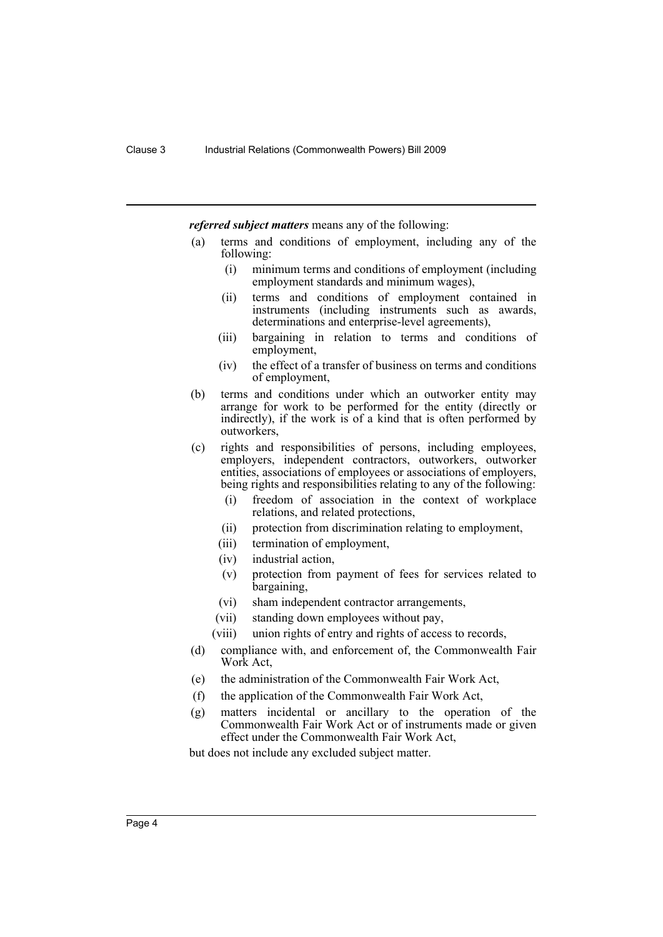*referred subject matters* means any of the following:

- (a) terms and conditions of employment, including any of the following:
	- (i) minimum terms and conditions of employment (including employment standards and minimum wages),
	- (ii) terms and conditions of employment contained in instruments (including instruments such as awards, determinations and enterprise-level agreements),
	- (iii) bargaining in relation to terms and conditions of employment,
	- (iv) the effect of a transfer of business on terms and conditions of employment,
- (b) terms and conditions under which an outworker entity may arrange for work to be performed for the entity (directly or indirectly), if the work is of a kind that is often performed by outworkers,
- (c) rights and responsibilities of persons, including employees, employers, independent contractors, outworkers, outworker entities, associations of employees or associations of employers, being rights and responsibilities relating to any of the following:
	- (i) freedom of association in the context of workplace relations, and related protections,
	- (ii) protection from discrimination relating to employment,
	- (iii) termination of employment,
	- (iv) industrial action,
	- (v) protection from payment of fees for services related to bargaining,
	- (vi) sham independent contractor arrangements,
	- (vii) standing down employees without pay,
	- (viii) union rights of entry and rights of access to records,
- (d) compliance with, and enforcement of, the Commonwealth Fair Work Act,
- (e) the administration of the Commonwealth Fair Work Act,
- (f) the application of the Commonwealth Fair Work Act,
- (g) matters incidental or ancillary to the operation of the Commonwealth Fair Work Act or of instruments made or given effect under the Commonwealth Fair Work Act,

but does not include any excluded subject matter.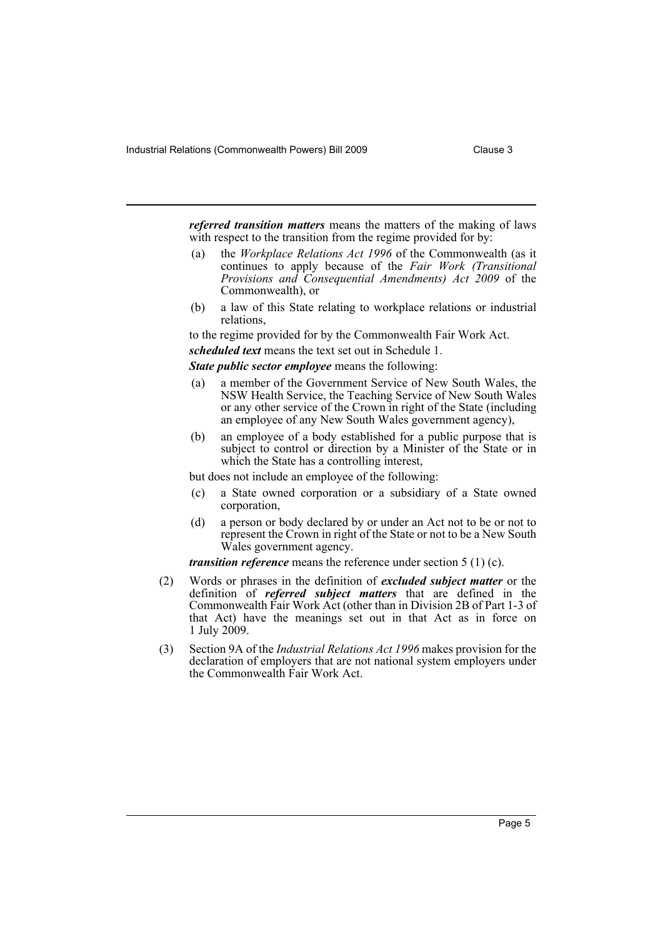Industrial Relations (Commonwealth Powers) Bill 2009 Clause 3

*referred transition matters* means the matters of the making of laws with respect to the transition from the regime provided for by:

- (a) the *Workplace Relations Act 1996* of the Commonwealth (as it continues to apply because of the *Fair Work (Transitional Provisions and Consequential Amendments) Act 2009* of the Commonwealth), or
- (b) a law of this State relating to workplace relations or industrial relations,

to the regime provided for by the Commonwealth Fair Work Act.

*scheduled text* means the text set out in Schedule 1.

*State public sector employee* means the following:

- (a) a member of the Government Service of New South Wales, the NSW Health Service, the Teaching Service of New South Wales or any other service of the Crown in right of the State (including an employee of any New South Wales government agency),
- (b) an employee of a body established for a public purpose that is subject to control or direction by a Minister of the State or in which the State has a controlling interest,

but does not include an employee of the following:

- (c) a State owned corporation or a subsidiary of a State owned corporation,
- (d) a person or body declared by or under an Act not to be or not to represent the Crown in right of the State or not to be a New South Wales government agency.

*transition reference* means the reference under section 5 (1) (c).

- (2) Words or phrases in the definition of *excluded subject matter* or the definition of *referred subject matters* that are defined in the Commonwealth Fair Work Act (other than in Division 2B of Part 1-3 of that Act) have the meanings set out in that Act as in force on 1 July 2009.
- (3) Section 9A of the *Industrial Relations Act 1996* makes provision for the declaration of employers that are not national system employers under the Commonwealth Fair Work Act.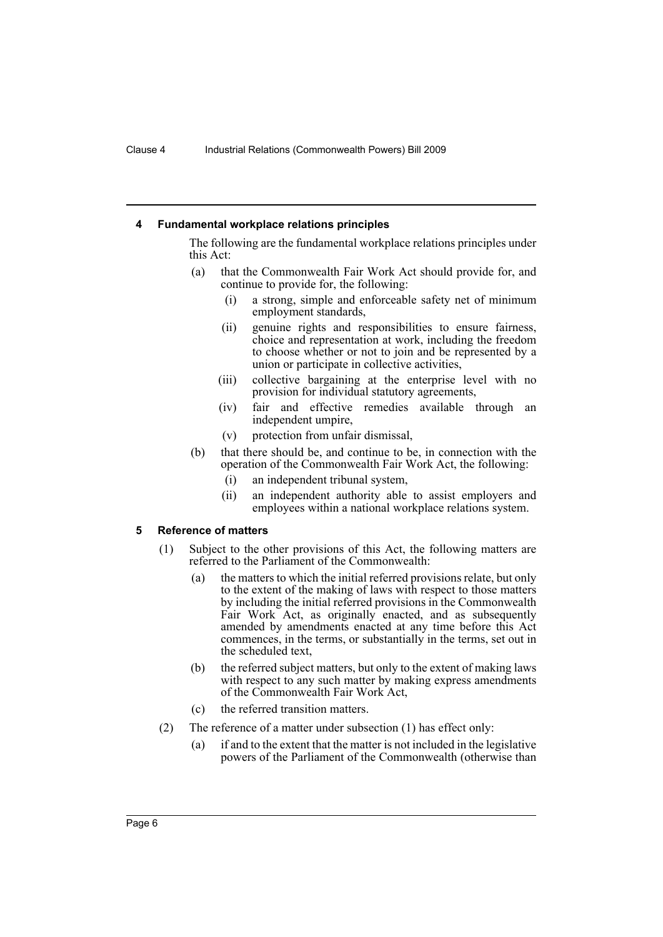#### <span id="page-7-0"></span>**4 Fundamental workplace relations principles**

The following are the fundamental workplace relations principles under this Act:

- (a) that the Commonwealth Fair Work Act should provide for, and continue to provide for, the following:
	- (i) a strong, simple and enforceable safety net of minimum employment standards,
	- (ii) genuine rights and responsibilities to ensure fairness, choice and representation at work, including the freedom to choose whether or not to join and be represented by a union or participate in collective activities,
	- (iii) collective bargaining at the enterprise level with no provision for individual statutory agreements,
	- (iv) fair and effective remedies available through an independent umpire,
	- (v) protection from unfair dismissal,
- (b) that there should be, and continue to be, in connection with the operation of the Commonwealth Fair Work Act, the following:
	- (i) an independent tribunal system,
	- (ii) an independent authority able to assist employers and employees within a national workplace relations system.

#### <span id="page-7-1"></span>**5 Reference of matters**

- (1) Subject to the other provisions of this Act, the following matters are referred to the Parliament of the Commonwealth:
	- (a) the matters to which the initial referred provisions relate, but only to the extent of the making of laws with respect to those matters by including the initial referred provisions in the Commonwealth Fair Work Act, as originally enacted, and as subsequently amended by amendments enacted at any time before this Act commences, in the terms, or substantially in the terms, set out in the scheduled text,
	- (b) the referred subject matters, but only to the extent of making laws with respect to any such matter by making express amendments of the Commonwealth Fair Work Act,
	- (c) the referred transition matters.
- (2) The reference of a matter under subsection (1) has effect only:
	- (a) if and to the extent that the matter is not included in the legislative powers of the Parliament of the Commonwealth (otherwise than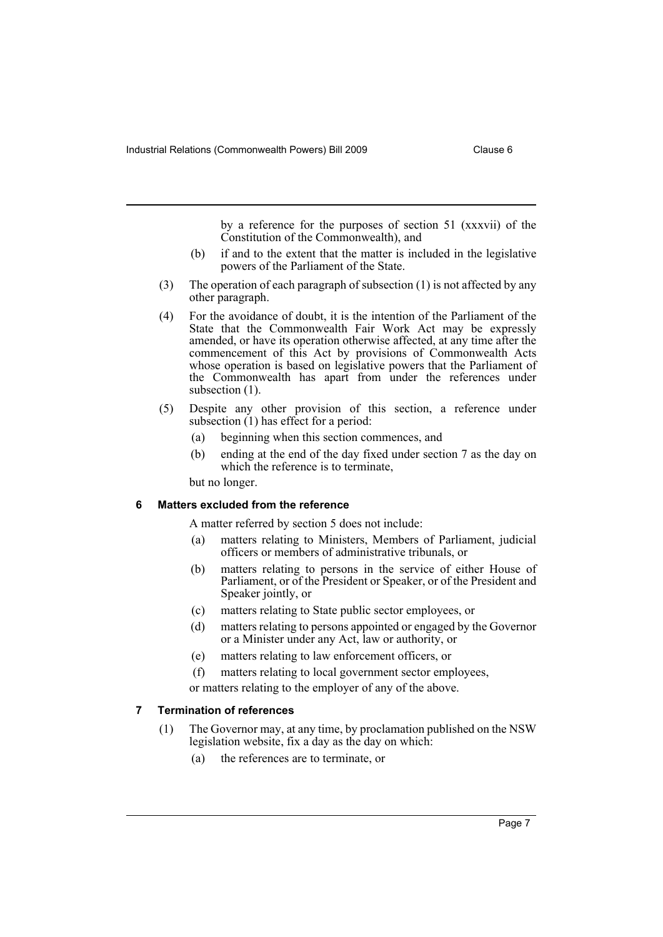by a reference for the purposes of section 51 (xxxvii) of the Constitution of the Commonwealth), and

- (b) if and to the extent that the matter is included in the legislative powers of the Parliament of the State.
- (3) The operation of each paragraph of subsection (1) is not affected by any other paragraph.
- (4) For the avoidance of doubt, it is the intention of the Parliament of the State that the Commonwealth Fair Work Act may be expressly amended, or have its operation otherwise affected, at any time after the commencement of this Act by provisions of Commonwealth Acts whose operation is based on legislative powers that the Parliament of the Commonwealth has apart from under the references under subsection  $(1)$ .
- (5) Despite any other provision of this section, a reference under subsection (1) has effect for a period:
	- (a) beginning when this section commences, and
	- (b) ending at the end of the day fixed under section 7 as the day on which the reference is to terminate,

but no longer.

#### <span id="page-8-0"></span>**6 Matters excluded from the reference**

A matter referred by section 5 does not include:

- (a) matters relating to Ministers, Members of Parliament, judicial officers or members of administrative tribunals, or
- (b) matters relating to persons in the service of either House of Parliament, or of the President or Speaker, or of the President and Speaker jointly, or
- (c) matters relating to State public sector employees, or
- (d) matters relating to persons appointed or engaged by the Governor or a Minister under any Act, law or authority, or
- (e) matters relating to law enforcement officers, or
- (f) matters relating to local government sector employees,

or matters relating to the employer of any of the above.

#### <span id="page-8-1"></span>**7 Termination of references**

- (1) The Governor may, at any time, by proclamation published on the NSW legislation website, fix a day as the day on which:
	- (a) the references are to terminate, or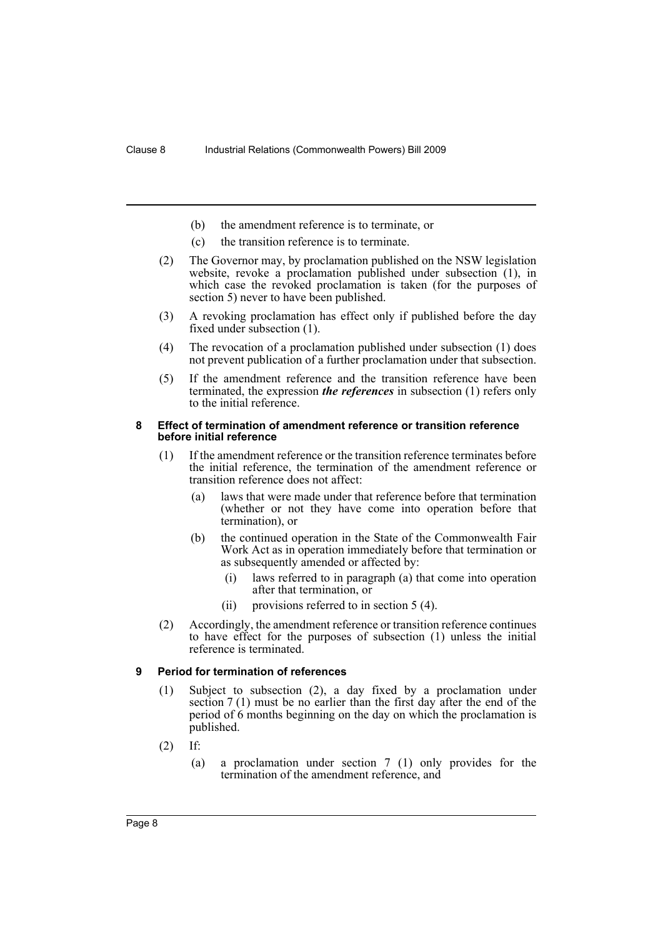- (b) the amendment reference is to terminate, or
- (c) the transition reference is to terminate.
- (2) The Governor may, by proclamation published on the NSW legislation website, revoke a proclamation published under subsection (1), in which case the revoked proclamation is taken (for the purposes of section 5) never to have been published.
- (3) A revoking proclamation has effect only if published before the day fixed under subsection (1).
- (4) The revocation of a proclamation published under subsection (1) does not prevent publication of a further proclamation under that subsection.
- (5) If the amendment reference and the transition reference have been terminated, the expression *the references* in subsection (1) refers only to the initial reference.

#### <span id="page-9-0"></span>**8 Effect of termination of amendment reference or transition reference before initial reference**

- (1) If the amendment reference or the transition reference terminates before the initial reference, the termination of the amendment reference or transition reference does not affect:
	- (a) laws that were made under that reference before that termination (whether or not they have come into operation before that termination), or
	- (b) the continued operation in the State of the Commonwealth Fair Work Act as in operation immediately before that termination or as subsequently amended or affected by:
		- (i) laws referred to in paragraph (a) that come into operation after that termination, or
		- (ii) provisions referred to in section 5 (4).
- (2) Accordingly, the amendment reference or transition reference continues to have effect for the purposes of subsection (1) unless the initial reference is terminated.

## <span id="page-9-1"></span>**9 Period for termination of references**

- (1) Subject to subsection (2), a day fixed by a proclamation under section 7 (1) must be no earlier than the first day after the end of the period of 6 months beginning on the day on which the proclamation is published.
- (2) If:
	- (a) a proclamation under section 7 (1) only provides for the termination of the amendment reference, and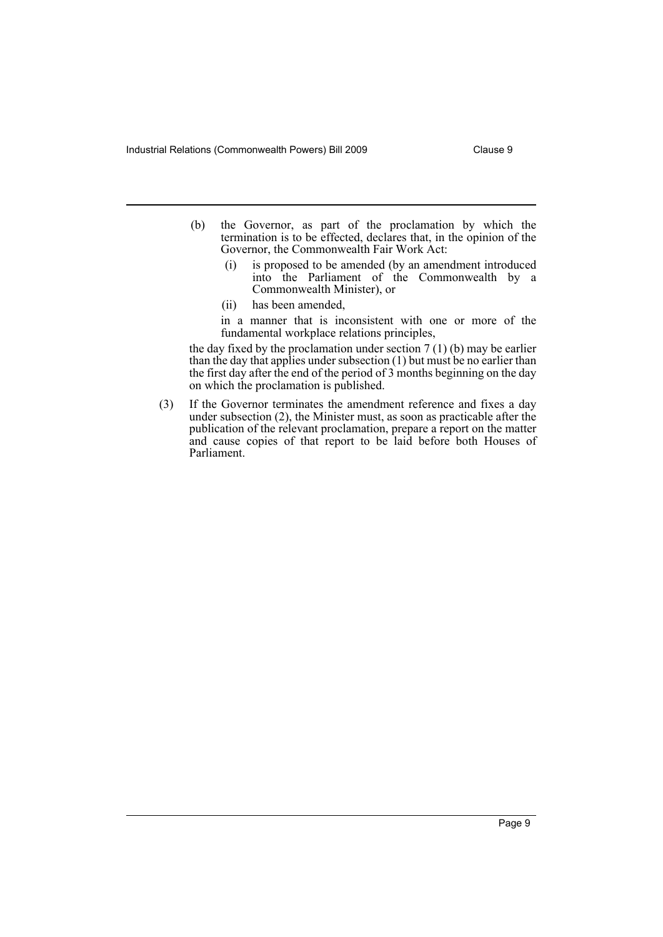- (b) the Governor, as part of the proclamation by which the termination is to be effected, declares that, in the opinion of the Governor, the Commonwealth Fair Work Act:
	- (i) is proposed to be amended (by an amendment introduced into the Parliament of the Commonwealth by a Commonwealth Minister), or
	- (ii) has been amended,
	- in a manner that is inconsistent with one or more of the fundamental workplace relations principles,

the day fixed by the proclamation under section  $7(1)(b)$  may be earlier than the day that applies under subsection (1) but must be no earlier than the first day after the end of the period of 3 months beginning on the day on which the proclamation is published.

(3) If the Governor terminates the amendment reference and fixes a day under subsection (2), the Minister must, as soon as practicable after the publication of the relevant proclamation, prepare a report on the matter and cause copies of that report to be laid before both Houses of Parliament.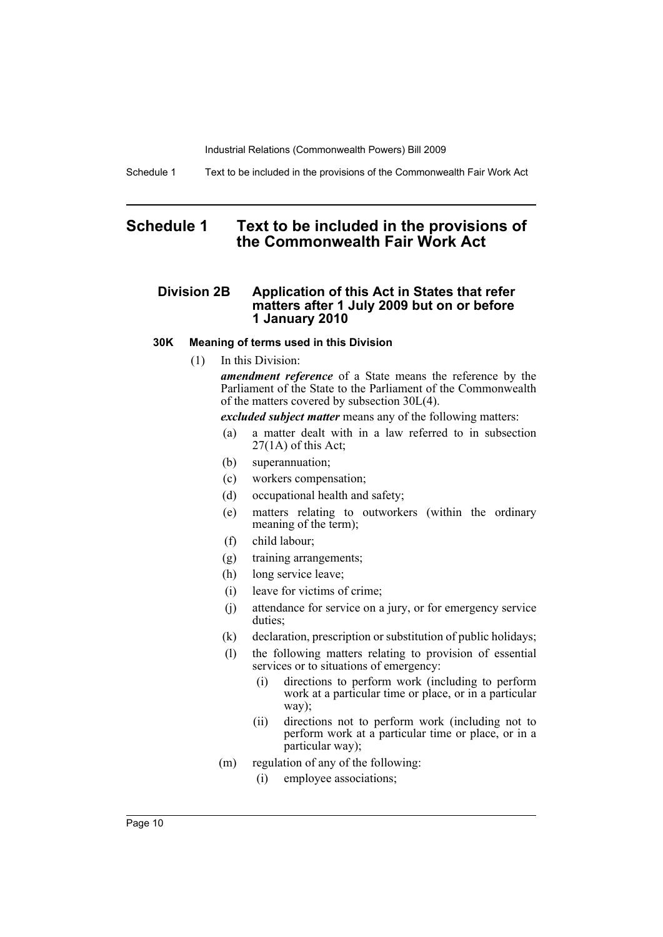Schedule 1 Text to be included in the provisions of the Commonwealth Fair Work Act

# <span id="page-11-0"></span>**Schedule 1 Text to be included in the provisions of the Commonwealth Fair Work Act**

## **Division 2B Application of this Act in States that refer matters after 1 July 2009 but on or before 1 January 2010**

## **30K Meaning of terms used in this Division**

(1) In this Division:

*amendment reference* of a State means the reference by the Parliament of the State to the Parliament of the Commonwealth of the matters covered by subsection 30L(4).

*excluded subject matter* means any of the following matters:

- (a) a matter dealt with in a law referred to in subsection  $27(1)$  of this Act;
- (b) superannuation;
- (c) workers compensation;
- (d) occupational health and safety;
- (e) matters relating to outworkers (within the ordinary meaning of the term);
- (f) child labour;
- (g) training arrangements;
- (h) long service leave;
- (i) leave for victims of crime;
- (j) attendance for service on a jury, or for emergency service duties;
- (k) declaration, prescription or substitution of public holidays;
- (l) the following matters relating to provision of essential services or to situations of emergency:
	- (i) directions to perform work (including to perform work at a particular time or place, or in a particular way);
	- (ii) directions not to perform work (including not to perform work at a particular time or place, or in a particular way);
- (m) regulation of any of the following:
	- (i) employee associations;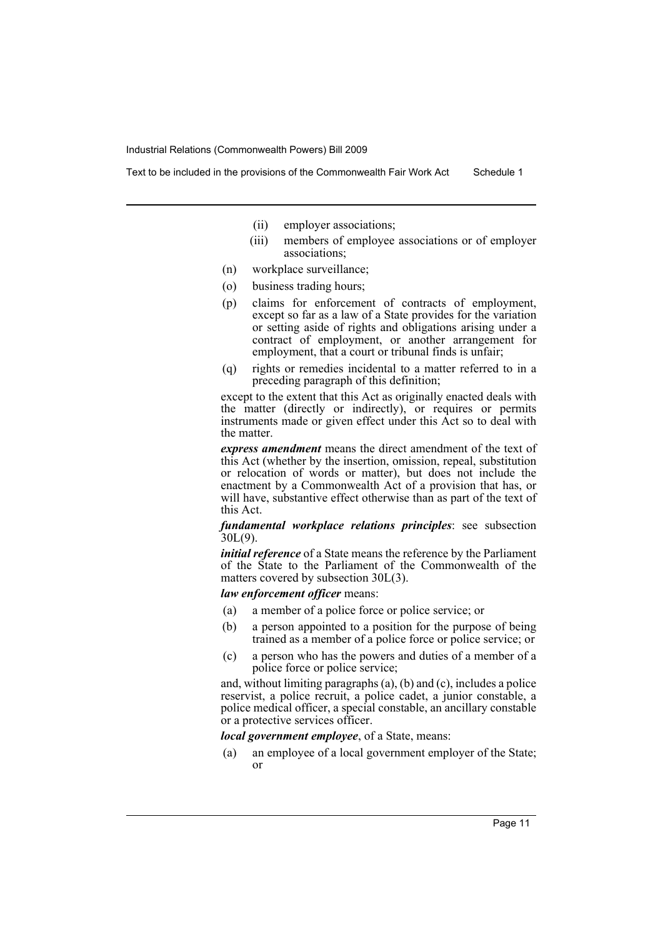- - (ii) employer associations;
	- (iii) members of employee associations or of employer associations;
- (n) workplace surveillance;
- (o) business trading hours;
- (p) claims for enforcement of contracts of employment, except so far as a law of a State provides for the variation or setting aside of rights and obligations arising under a contract of employment, or another arrangement for employment, that a court or tribunal finds is unfair;
- (q) rights or remedies incidental to a matter referred to in a preceding paragraph of this definition;

except to the extent that this Act as originally enacted deals with the matter (directly or indirectly), or requires or permits instruments made or given effect under this Act so to deal with the matter.

*express amendment* means the direct amendment of the text of this Act (whether by the insertion, omission, repeal, substitution or relocation of words or matter), but does not include the enactment by a Commonwealth Act of a provision that has, or will have, substantive effect otherwise than as part of the text of this Act.

*fundamental workplace relations principles*: see subsection 30L(9).

*initial reference* of a State means the reference by the Parliament of the State to the Parliament of the Commonwealth of the matters covered by subsection 30L(3).

*law enforcement officer* means:

- (a) a member of a police force or police service; or
- (b) a person appointed to a position for the purpose of being trained as a member of a police force or police service; or
- (c) a person who has the powers and duties of a member of a police force or police service;

and, without limiting paragraphs (a), (b) and (c), includes a police reservist, a police recruit, a police cadet, a junior constable, a police medical officer, a special constable, an ancillary constable or a protective services officer.

*local government employee*, of a State, means:

(a) an employee of a local government employer of the State; or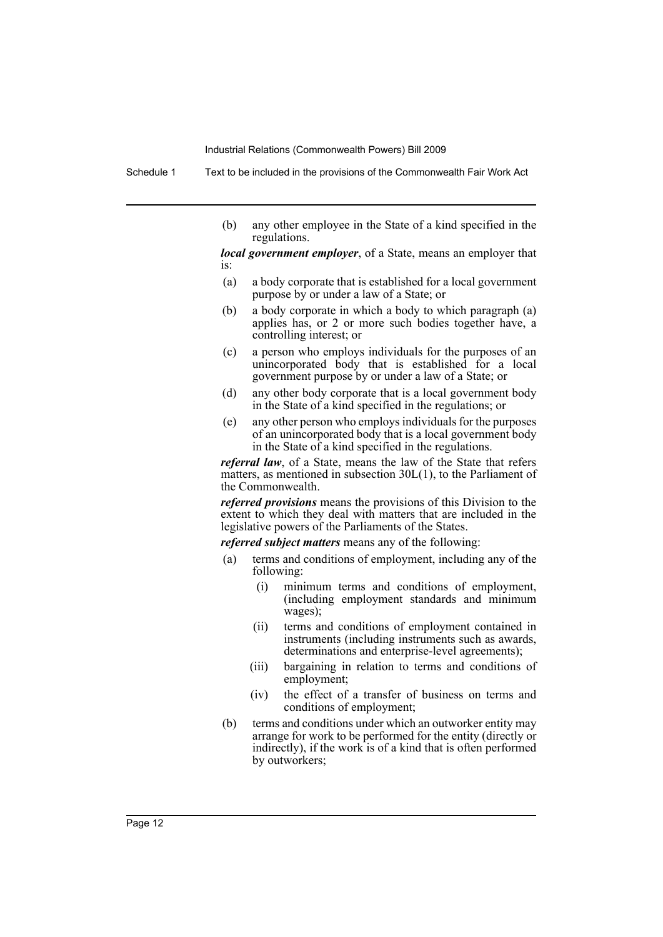Schedule 1 Text to be included in the provisions of the Commonwealth Fair Work Act

(b) any other employee in the State of a kind specified in the regulations.

*local government employer*, of a State, means an employer that is:

- (a) a body corporate that is established for a local government purpose by or under a law of a State; or
- (b) a body corporate in which a body to which paragraph (a) applies has, or 2 or more such bodies together have, a controlling interest; or
- (c) a person who employs individuals for the purposes of an unincorporated body that is established for a local government purpose by or under a law of a State; or
- (d) any other body corporate that is a local government body in the State of a kind specified in the regulations; or
- (e) any other person who employs individuals for the purposes of an unincorporated body that is a local government body in the State of a kind specified in the regulations.

*referral law*, of a State, means the law of the State that refers matters, as mentioned in subsection 30L(1), to the Parliament of the Commonwealth.

*referred provisions* means the provisions of this Division to the extent to which they deal with matters that are included in the legislative powers of the Parliaments of the States.

*referred subject matters* means any of the following:

- (a) terms and conditions of employment, including any of the following:
	- (i) minimum terms and conditions of employment, (including employment standards and minimum wages);
	- (ii) terms and conditions of employment contained in instruments (including instruments such as awards, determinations and enterprise-level agreements);
	- (iii) bargaining in relation to terms and conditions of employment;
	- (iv) the effect of a transfer of business on terms and conditions of employment;
- (b) terms and conditions under which an outworker entity may arrange for work to be performed for the entity (directly or indirectly), if the work is of a kind that is often performed by outworkers;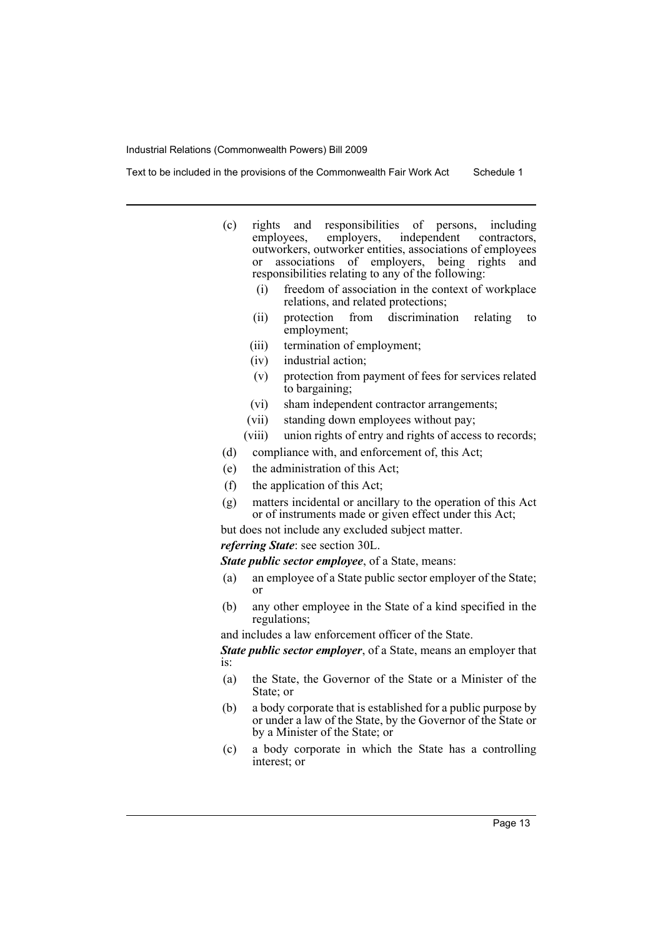- (c) rights and responsibilities of persons, including independent outworkers, outworker entities, associations of employees or associations of employers, being rights and responsibilities relating to any of the following:
	- (i) freedom of association in the context of workplace relations, and related protections;
	- (ii) protection from discrimination relating to employment;
	- (iii) termination of employment;
	- (iv) industrial action;
	- (v) protection from payment of fees for services related to bargaining;
	- (vi) sham independent contractor arrangements;
	- (vii) standing down employees without pay;
	- (viii) union rights of entry and rights of access to records;
	- (d) compliance with, and enforcement of, this Act;
	- (e) the administration of this Act;
	- (f) the application of this Act;
	- (g) matters incidental or ancillary to the operation of this Act or of instruments made or given effect under this Act;

but does not include any excluded subject matter.

## *referring State*: see section 30L.

*State public sector employee*, of a State, means:

- (a) an employee of a State public sector employer of the State; or
- (b) any other employee in the State of a kind specified in the regulations;

and includes a law enforcement officer of the State.

*State public sector employer*, of a State, means an employer that is:

- (a) the State, the Governor of the State or a Minister of the State; or
- (b) a body corporate that is established for a public purpose by or under a law of the State, by the Governor of the State or by a Minister of the State; or
- (c) a body corporate in which the State has a controlling interest; or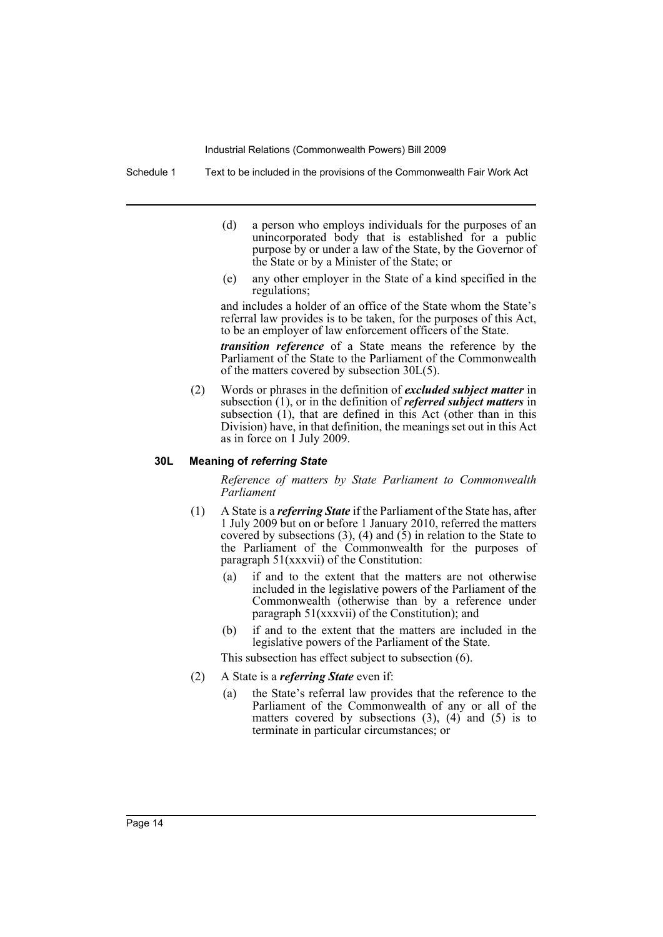Schedule 1 Text to be included in the provisions of the Commonwealth Fair Work Act

- (d) a person who employs individuals for the purposes of an unincorporated body that is established for a public purpose by or under a law of the State, by the Governor of the State or by a Minister of the State; or
- (e) any other employer in the State of a kind specified in the regulations;

and includes a holder of an office of the State whom the State's referral law provides is to be taken, for the purposes of this Act, to be an employer of law enforcement officers of the State.

*transition reference* of a State means the reference by the Parliament of the State to the Parliament of the Commonwealth of the matters covered by subsection 30L(5).

(2) Words or phrases in the definition of *excluded subject matter* in subsection (1), or in the definition of *referred subject matters* in subsection (1), that are defined in this Act (other than in this Division) have, in that definition, the meanings set out in this Act as in force on 1 July 2009.

#### **30L Meaning of** *referring State*

*Reference of matters by State Parliament to Commonwealth Parliament*

- (1) A State is a *referring State* if the Parliament of the State has, after 1 July 2009 but on or before 1 January 2010, referred the matters covered by subsections  $(3)$ ,  $(4)$  and  $(5)$  in relation to the State to the Parliament of the Commonwealth for the purposes of paragraph 51(xxxvii) of the Constitution:
	- (a) if and to the extent that the matters are not otherwise included in the legislative powers of the Parliament of the Commonwealth (otherwise than by a reference under paragraph 51(xxxvii) of the Constitution); and
	- (b) if and to the extent that the matters are included in the legislative powers of the Parliament of the State.

This subsection has effect subject to subsection (6).

- (2) A State is a *referring State* even if:
	- (a) the State's referral law provides that the reference to the Parliament of the Commonwealth of any or all of the matters covered by subsections  $(3)$ ,  $(4)$  and  $(5)$  is to terminate in particular circumstances; or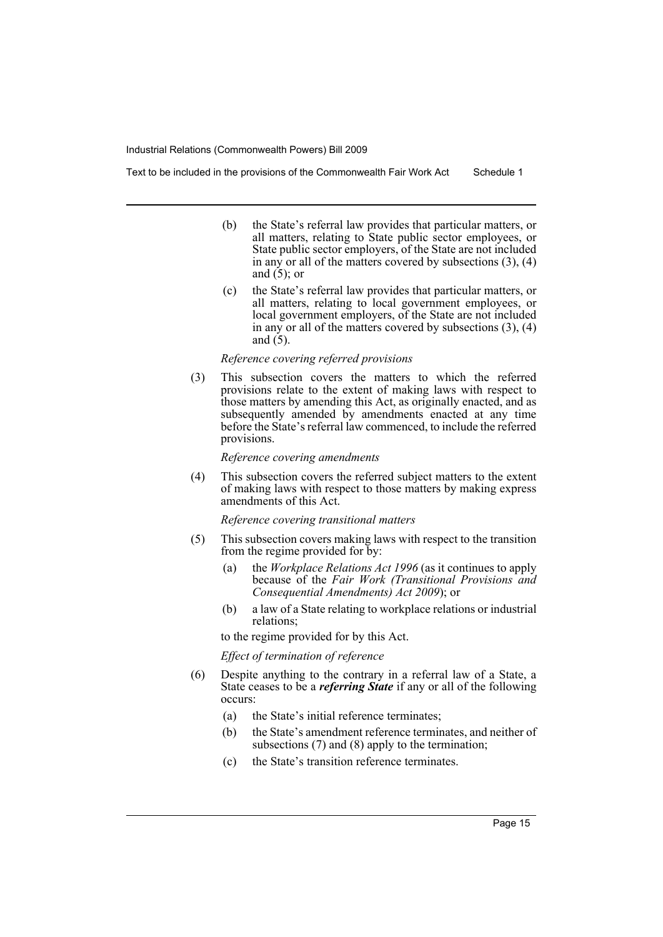- - (b) the State's referral law provides that particular matters, or all matters, relating to State public sector employees, or State public sector employers, of the State are not included in any or all of the matters covered by subsections  $(3)$ ,  $(4)$ and  $(5)$ ; or
	- (c) the State's referral law provides that particular matters, or all matters, relating to local government employees, or local government employers, of the State are not included in any or all of the matters covered by subsections (3), (4) and (5).

#### *Reference covering referred provisions*

(3) This subsection covers the matters to which the referred provisions relate to the extent of making laws with respect to those matters by amending this Act, as originally enacted, and as subsequently amended by amendments enacted at any time before the State's referral law commenced, to include the referred provisions.

#### *Reference covering amendments*

(4) This subsection covers the referred subject matters to the extent of making laws with respect to those matters by making express amendments of this Act.

*Reference covering transitional matters*

- (5) This subsection covers making laws with respect to the transition from the regime provided for by:
	- (a) the *Workplace Relations Act 1996* (as it continues to apply because of the *Fair Work (Transitional Provisions and Consequential Amendments) Act 2009*); or
	- (b) a law of a State relating to workplace relations or industrial relations;

to the regime provided for by this Act.

*Effect of termination of reference*

- (6) Despite anything to the contrary in a referral law of a State, a State ceases to be a *referring State* if any or all of the following occurs:
	- (a) the State's initial reference terminates;
	- (b) the State's amendment reference terminates, and neither of subsections (7) and (8) apply to the termination;
	- (c) the State's transition reference terminates.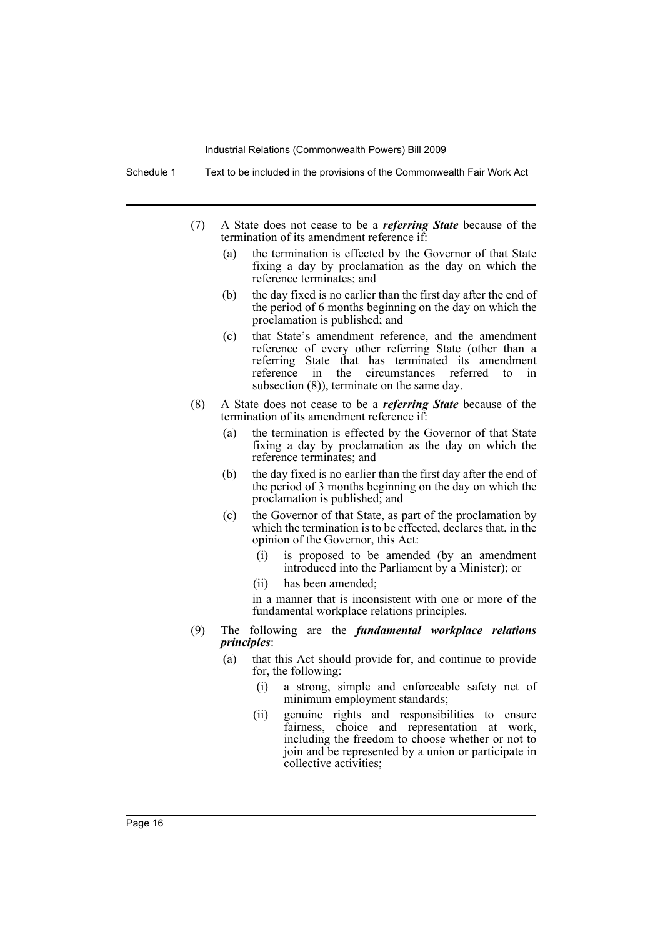Schedule 1 Text to be included in the provisions of the Commonwealth Fair Work Act

- (7) A State does not cease to be a *referring State* because of the termination of its amendment reference if:
	- (a) the termination is effected by the Governor of that State fixing a day by proclamation as the day on which the reference terminates; and
	- (b) the day fixed is no earlier than the first day after the end of the period of 6 months beginning on the day on which the proclamation is published; and
	- (c) that State's amendment reference, and the amendment reference of every other referring State (other than a referring State that has terminated its amendment reference in the circumstances referred to in subsection (8)), terminate on the same day.
- (8) A State does not cease to be a *referring State* because of the termination of its amendment reference if:
	- (a) the termination is effected by the Governor of that State fixing a day by proclamation as the day on which the reference terminates; and
	- (b) the day fixed is no earlier than the first day after the end of the period of 3 months beginning on the day on which the proclamation is published; and
	- (c) the Governor of that State, as part of the proclamation by which the termination is to be effected, declares that, in the opinion of the Governor, this Act:
		- (i) is proposed to be amended (by an amendment introduced into the Parliament by a Minister); or
		- (ii) has been amended;

in a manner that is inconsistent with one or more of the fundamental workplace relations principles.

- (9) The following are the *fundamental workplace relations principles*:
	- (a) that this Act should provide for, and continue to provide for, the following:
		- (i) a strong, simple and enforceable safety net of minimum employment standards;
		- (ii) genuine rights and responsibilities to ensure fairness, choice and representation at work, including the freedom to choose whether or not to join and be represented by a union or participate in collective activities;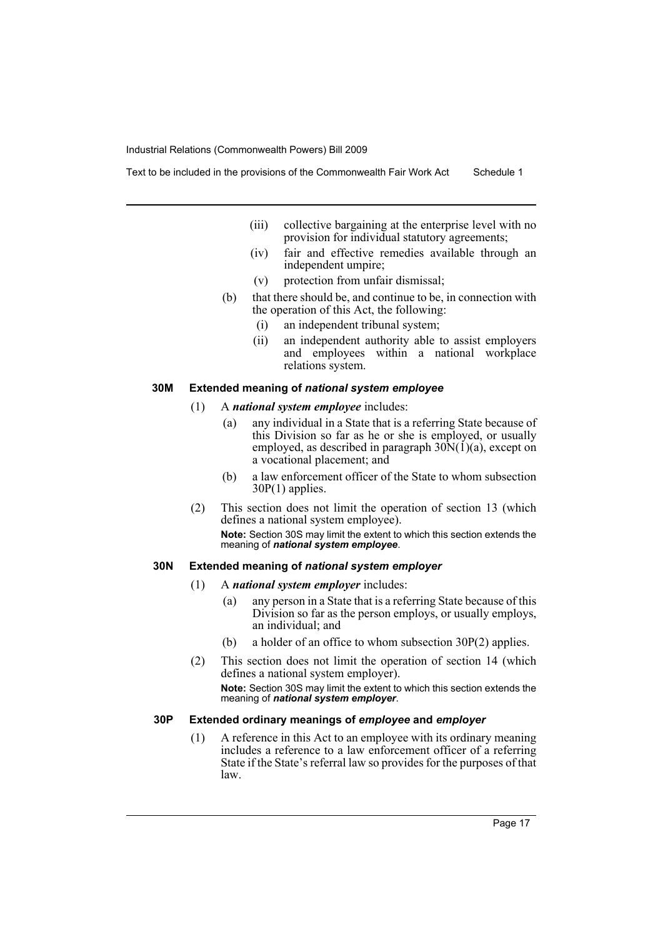- (iii) collective bargaining at the enterprise level with no provision for individual statutory agreements;
- (iv) fair and effective remedies available through an independent umpire;
- (v) protection from unfair dismissal;
- (b) that there should be, and continue to be, in connection with the operation of this Act, the following:
	- (i) an independent tribunal system;
	- (ii) an independent authority able to assist employers and employees within a national workplace relations system.

#### **30M Extended meaning of** *national system employee*

- (1) A *national system employee* includes:
	- (a) any individual in a State that is a referring State because of this Division so far as he or she is employed, or usually employed, as described in paragraph  $30\text{N}(1)(a)$ , except on a vocational placement; and
	- (b) a law enforcement officer of the State to whom subsection 30P(1) applies.
- (2) This section does not limit the operation of section 13 (which defines a national system employee). **Note:** Section 30S may limit the extent to which this section extends the meaning of *national system employee*.

## **30N Extended meaning of** *national system employer*

- (1) A *national system employer* includes:
	- (a) any person in a State that is a referring State because of this Division so far as the person employs, or usually employs, an individual; and
	- (b) a holder of an office to whom subsection 30P(2) applies.
- (2) This section does not limit the operation of section 14 (which defines a national system employer). **Note:** Section 30S may limit the extent to which this section extends the meaning of *national system employer*.

## **30P Extended ordinary meanings of** *employee* **and** *employer*

(1) A reference in this Act to an employee with its ordinary meaning includes a reference to a law enforcement officer of a referring State if the State's referral law so provides for the purposes of that law.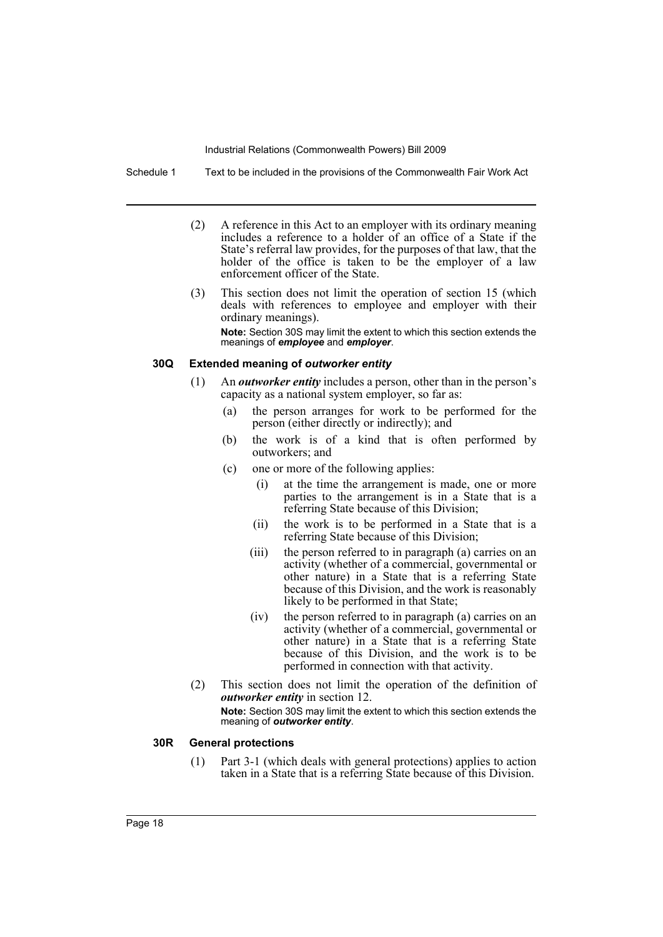Schedule 1 Text to be included in the provisions of the Commonwealth Fair Work Act

- (2) A reference in this Act to an employer with its ordinary meaning includes a reference to a holder of an office of a State if the State's referral law provides, for the purposes of that law, that the holder of the office is taken to be the employer of a law enforcement officer of the State.
- (3) This section does not limit the operation of section 15 (which deals with references to employee and employer with their ordinary meanings). **Note:** Section 30S may limit the extent to which this section extends the meanings of *employee* and *employer*.

#### **30Q Extended meaning of** *outworker entity*

- (1) An *outworker entity* includes a person, other than in the person's capacity as a national system employer, so far as:
	- (a) the person arranges for work to be performed for the person (either directly or indirectly); and
	- (b) the work is of a kind that is often performed by outworkers; and
	- (c) one or more of the following applies:
		- (i) at the time the arrangement is made, one or more parties to the arrangement is in a State that is a referring State because of this Division;
		- (ii) the work is to be performed in a State that is a referring State because of this Division;
		- (iii) the person referred to in paragraph (a) carries on an activity (whether of a commercial, governmental or other nature) in a State that is a referring State because of this Division, and the work is reasonably likely to be performed in that State;
		- (iv) the person referred to in paragraph (a) carries on an activity (whether of a commercial, governmental or other nature) in a State that is a referring State because of this Division, and the work is to be performed in connection with that activity.
- (2) This section does not limit the operation of the definition of *outworker entity* in section 12.

**Note:** Section 30S may limit the extent to which this section extends the meaning of *outworker entity*.

#### **30R General protections**

(1) Part 3-1 (which deals with general protections) applies to action taken in a State that is a referring State because of this Division.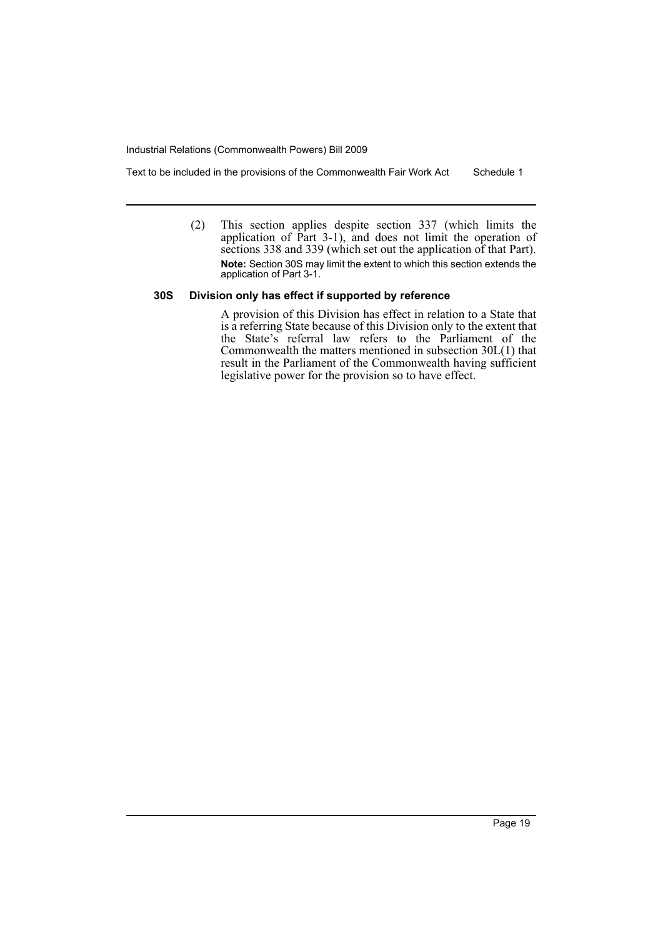Text to be included in the provisions of the Commonwealth Fair Work Act Schedule 1

(2) This section applies despite section 337 (which limits the application of  $\hat{P}_{art}$  3-1), and does not limit the operation of sections 338 and 339 (which set out the application of that Part). **Note:** Section 30S may limit the extent to which this section extends the application of Part 3-1.

## **30S Division only has effect if supported by reference**

A provision of this Division has effect in relation to a State that is a referring State because of this Division only to the extent that the State's referral law refers to the Parliament of the Commonwealth the matters mentioned in subsection 30L(1) that result in the Parliament of the Commonwealth having sufficient legislative power for the provision so to have effect.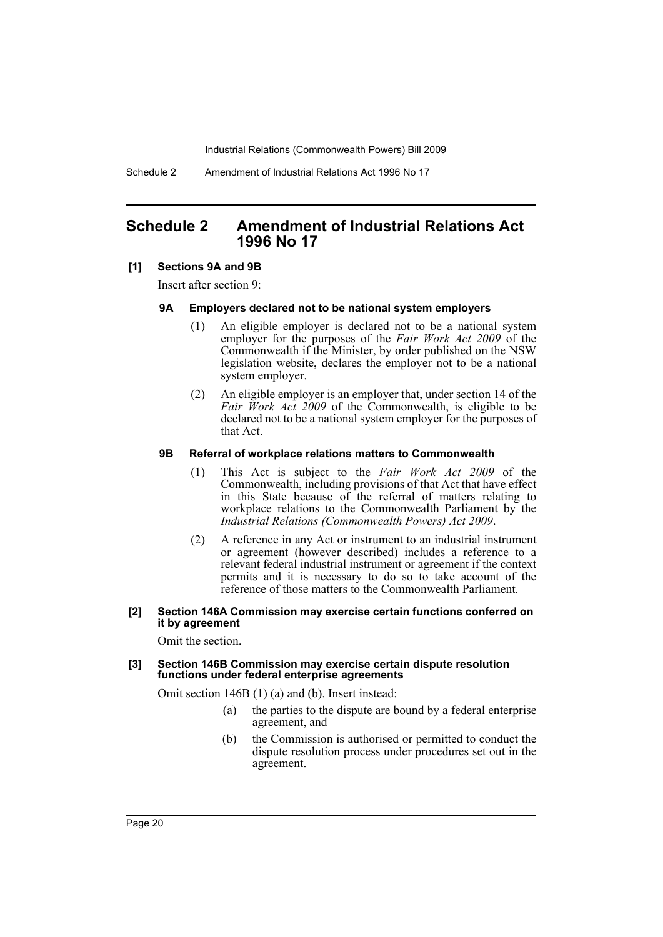Schedule 2 Amendment of Industrial Relations Act 1996 No 17

# <span id="page-21-0"></span>**Schedule 2 Amendment of Industrial Relations Act 1996 No 17**

## **[1] Sections 9A and 9B**

Insert after section 9:

#### **9A Employers declared not to be national system employers**

- (1) An eligible employer is declared not to be a national system employer for the purposes of the *Fair Work Act 2009* of the Commonwealth if the Minister, by order published on the NSW legislation website, declares the employer not to be a national system employer.
- (2) An eligible employer is an employer that, under section 14 of the *Fair Work Act 2009* of the Commonwealth, is eligible to be declared not to be a national system employer for the purposes of that Act.

#### **9B Referral of workplace relations matters to Commonwealth**

- (1) This Act is subject to the *Fair Work Act 2009* of the Commonwealth, including provisions of that Act that have effect in this State because of the referral of matters relating to workplace relations to the Commonwealth Parliament by the *Industrial Relations (Commonwealth Powers) Act 2009*.
- (2) A reference in any Act or instrument to an industrial instrument or agreement (however described) includes a reference to a relevant federal industrial instrument or agreement if the context permits and it is necessary to do so to take account of the reference of those matters to the Commonwealth Parliament.

#### **[2] Section 146A Commission may exercise certain functions conferred on it by agreement**

Omit the section.

#### **[3] Section 146B Commission may exercise certain dispute resolution functions under federal enterprise agreements**

Omit section 146B (1) (a) and (b). Insert instead:

- (a) the parties to the dispute are bound by a federal enterprise agreement, and
- (b) the Commission is authorised or permitted to conduct the dispute resolution process under procedures set out in the agreement.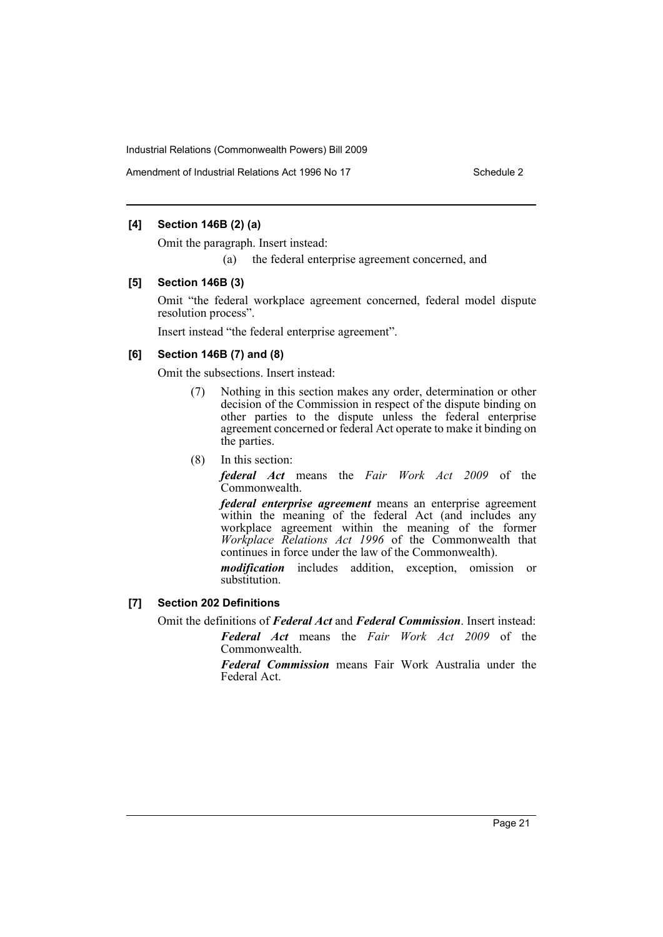Amendment of Industrial Relations Act 1996 No 17 Schedule 2

## **[4] Section 146B (2) (a)**

Omit the paragraph. Insert instead:

(a) the federal enterprise agreement concerned, and

#### **[5] Section 146B (3)**

Omit "the federal workplace agreement concerned, federal model dispute resolution process".

Insert instead "the federal enterprise agreement".

## **[6] Section 146B (7) and (8)**

Omit the subsections. Insert instead:

- (7) Nothing in this section makes any order, determination or other decision of the Commission in respect of the dispute binding on other parties to the dispute unless the federal enterprise agreement concerned or federal Act operate to make it binding on the parties.
- (8) In this section:

*federal Act* means the *Fair Work Act 2009* of the Commonwealth.

*federal enterprise agreement* means an enterprise agreement within the meaning of the federal Act (and includes any workplace agreement within the meaning of the former *Workplace Relations Act 1996* of the Commonwealth that continues in force under the law of the Commonwealth).

*modification* includes addition, exception, omission or substitution.

## **[7] Section 202 Definitions**

Omit the definitions of *Federal Act* and *Federal Commission*. Insert instead:

*Federal Act* means the *Fair Work Act 2009* of the Commonwealth.

*Federal Commission* means Fair Work Australia under the Federal Act.